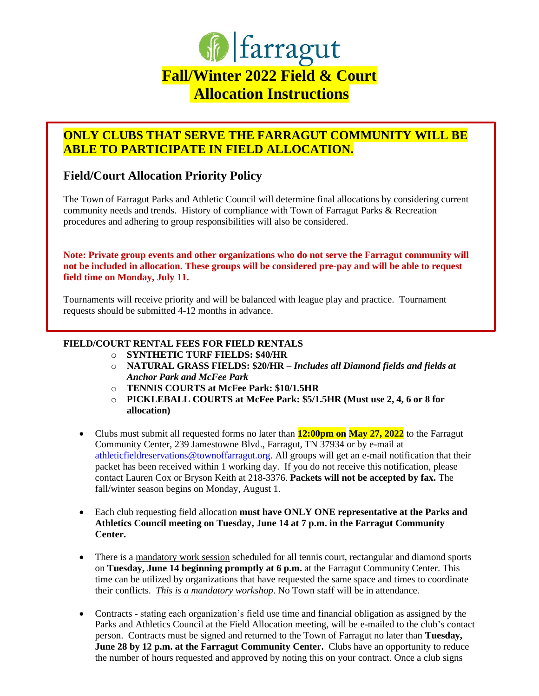

## **ONLY CLUBS THAT SERVE THE FARRAGUT COMMUNITY WILL BE ABLE TO PARTICIPATE IN FIELD ALLOCATION.**

### **Field/Court Allocation Priority Policy**

The Town of Farragut Parks and Athletic Council will determine final allocations by considering current community needs and trends. History of compliance with Town of Farragut Parks & Recreation procedures and adhering to group responsibilities will also be considered.

**Note: Private group events and other organizations who do not serve the Farragut community will not be included in allocation. These groups will be considered pre-pay and will be able to request field time on Monday, July 11.**

Tournaments will receive priority and will be balanced with league play and practice. Tournament requests should be submitted 4-12 months in advance.

#### **FIELD/COURT RENTAL FEES FOR FIELD RENTALS**

- o **SYNTHETIC TURF FIELDS: \$40/HR**
- o **NATURAL GRASS FIELDS: \$20/HR –** *Includes all Diamond fields and fields at Anchor Park and McFee Park*
- o **TENNIS COURTS at McFee Park: \$10/1.5HR**
- o **PICKLEBALL COURTS at McFee Park: \$5/1.5HR (Must use 2, 4, 6 or 8 for allocation)**
- Clubs must submit all requested forms no later than **12:00pm on May 27, 2022** to the Farragut Community Center, 239 Jamestowne Blvd., Farragut, TN 37934 or by e-mail at [athleticfieldreservations@townoffarragut.org.](mailto:athleticfieldreservations@townoffarragut.org) All groups will get an e-mail notification that their packet has been received within 1 working day. If you do not receive this notification, please contact Lauren Cox or Bryson Keith at 218-3376. **Packets will not be accepted by fax.** The fall/winter season begins on Monday, August 1.
- Each club requesting field allocation **must have ONLY ONE representative at the Parks and Athletics Council meeting on Tuesday, June 14 at 7 p.m. in the Farragut Community Center.**
- There is a mandatory work session scheduled for all tennis court, rectangular and diamond sports on **Tuesday, June 14 beginning promptly at 6 p.m.** at the Farragut Community Center. This time can be utilized by organizations that have requested the same space and times to coordinate their conflicts. *This is a mandatory workshop*. No Town staff will be in attendance.
- Contracts stating each organization's field use time and financial obligation as assigned by the Parks and Athletics Council at the Field Allocation meeting, will be e-mailed to the club's contact person. Contracts must be signed and returned to the Town of Farragut no later than **Tuesday, June 28 by 12 p.m. at the Farragut Community Center.** Clubs have an opportunity to reduce the number of hours requested and approved by noting this on your contract. Once a club signs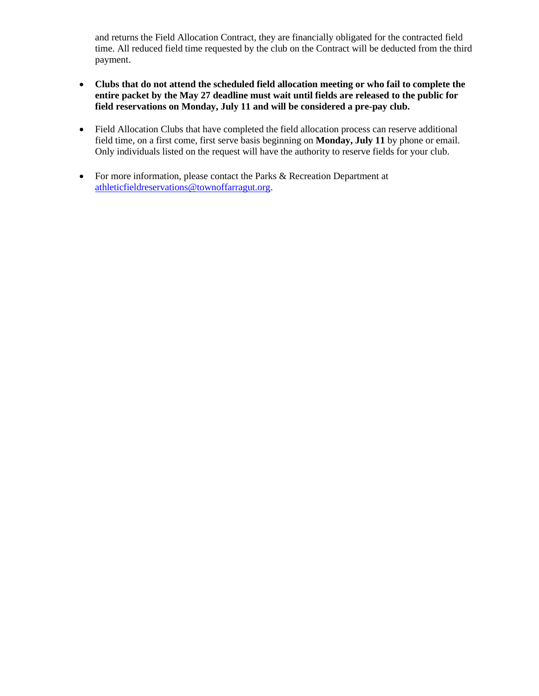and returns the Field Allocation Contract, they are financially obligated for the contracted field time. All reduced field time requested by the club on the Contract will be deducted from the third payment.

- **Clubs that do not attend the scheduled field allocation meeting or who fail to complete the entire packet by the May 27 deadline must wait until fields are released to the public for field reservations on Monday, July 11 and will be considered a pre-pay club.**
- Field Allocation Clubs that have completed the field allocation process can reserve additional field time, on a first come, first serve basis beginning on **Monday, July 11** by phone or email. Only individuals listed on the request will have the authority to reserve fields for your club.
- For more information, please contact the Parks & Recreation Department at [athleticfieldreservations@townoffarragut.org.](mailto:athleticfieldreservations@townoffarragut.org)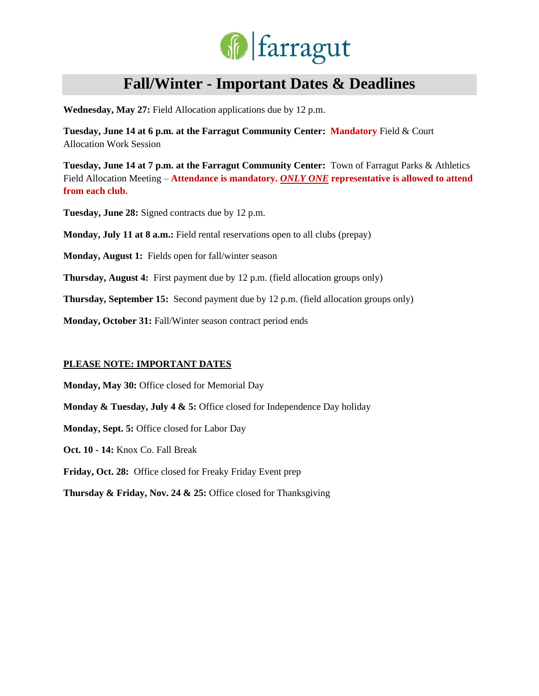

# **Fall/Winter - Important Dates & Deadlines**

**Wednesday, May 27:** Field Allocation applications due by 12 p.m.

**Tuesday, June 14 at 6 p.m. at the Farragut Community Center: Mandatory** Field & Court Allocation Work Session

**Tuesday, June 14 at 7 p.m. at the Farragut Community Center:** Town of Farragut Parks & Athletics Field Allocation Meeting – **Attendance is mandatory.** *ONLY ONE* **representative is allowed to attend from each club.**

**Tuesday, June 28:** Signed contracts due by 12 p.m.

**Monday, July 11 at 8 a.m.:** Field rental reservations open to all clubs (prepay)

**Monday, August 1:** Fields open for fall/winter season

**Thursday, August 4:** First payment due by 12 p.m. (field allocation groups only)

**Thursday, September 15:** Second payment due by 12 p.m. (field allocation groups only)

**Monday, October 31:** Fall/Winter season contract period ends

#### **PLEASE NOTE: IMPORTANT DATES**

**Monday, May 30:** Office closed for Memorial Day

**Monday & Tuesday, July 4 & 5:** Office closed for Independence Day holiday

**Monday, Sept. 5:** Office closed for Labor Day

**Oct. 10 - 14:** Knox Co. Fall Break

**Friday, Oct. 28:** Office closed for Freaky Friday Event prep

**Thursday & Friday, Nov. 24 & 25:** Office closed for Thanksgiving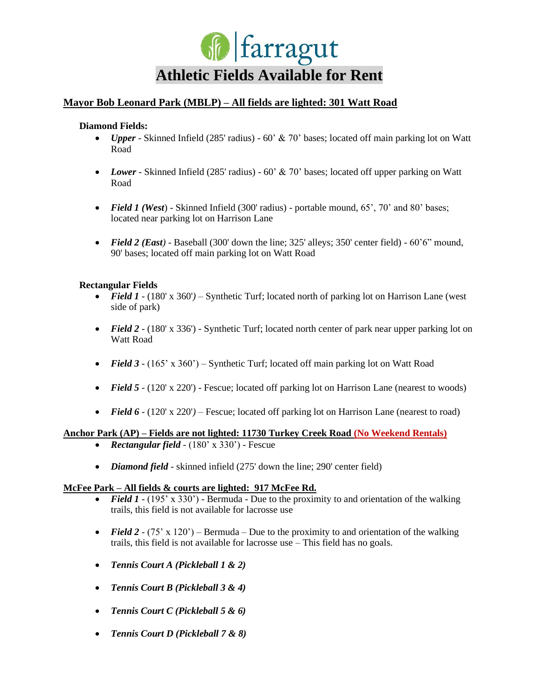

#### **Mayor Bob Leonard Park (MBLP) – All fields are lighted: 301 Watt Road**

#### **Diamond Fields:**

- *Upper* Skinned Infield (285' radius) 60' & 70' bases; located off main parking lot on Watt Road
- *Lower* Skinned Infield (285' radius) 60' & 70' bases; located off upper parking on Watt Road
- *Field 1 (West*) Skinned Infield (300' radius) portable mound, 65', 70' and 80' bases; located near parking lot on Harrison Lane
- *Field 2 (East)* Baseball (300' down the line; 325' alleys; 350' center field) 60'6" mound, 90' bases; located off main parking lot on Watt Road

#### **Rectangular Fields**

- *Field 1* (180' x 360') Synthetic Turf; located north of parking lot on Harrison Lane (west side of park)
- *Field 2* (180' x 336') Synthetic Turf; located north center of park near upper parking lot on Watt Road
- *Field 3*  $\cdot$  (165' x 360') Synthetic Turf; located off main parking lot on Watt Road
- *Field 5*  $\cdot$  (120' x 220') Fescue; located off parking lot on Harrison Lane (nearest to woods)
- *Field 6*  $\cdot$  (120' x 220') Fescue; located off parking lot on Harrison Lane (nearest to road)

#### **Anchor Park (AP) – Fields are not lighted: 11730 Turkey Creek Road (No Weekend Rentals)**

- *Rectangular field* (180' x 330') Fescue
- *Diamond field* skinned infield (275' down the line; 290' center field)

#### **McFee Park – All fields & courts are lighted: 917 McFee Rd.**

- *Field 1*  (195' x 330') Bermuda Due to the proximity to and orientation of the walking trails, this field is not available for lacrosse use
- *Field 2* (75' x 120') Bermuda Due to the proximity to and orientation of the walking trails, this field is not available for lacrosse use – This field has no goals.
- *Tennis Court A (Pickleball 1 & 2)*
- *Tennis Court B (Pickleball 3 & 4)*
- *Tennis Court C (Pickleball 5 & 6)*
- *Tennis Court D (Pickleball 7 & 8)*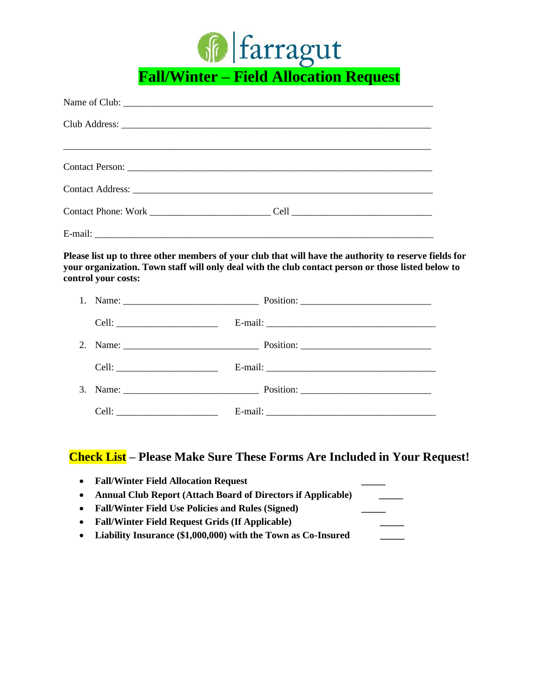

|         | control your costs: | Please list up to three other members of your club that will have the authority to reserve fields for<br>your organization. Town staff will only deal with the club contact person or those listed below to |  |
|---------|---------------------|-------------------------------------------------------------------------------------------------------------------------------------------------------------------------------------------------------------|--|
|         |                     |                                                                                                                                                                                                             |  |
|         |                     |                                                                                                                                                                                                             |  |
| 2.      |                     |                                                                                                                                                                                                             |  |
|         |                     |                                                                                                                                                                                                             |  |
| $3_{-}$ |                     |                                                                                                                                                                                                             |  |
|         |                     |                                                                                                                                                                                                             |  |

## **Check List – Please Make Sure These Forms Are Included in Your Request!**

| $\bullet$ | <b>Fall/Winter Field Allocation Request</b>                         |  |
|-----------|---------------------------------------------------------------------|--|
| $\bullet$ | <b>Annual Club Report (Attach Board of Directors if Applicable)</b> |  |
| $\bullet$ | <b>Fall/Winter Field Use Policies and Rules (Signed)</b>            |  |
| $\bullet$ | <b>Fall/Winter Field Request Grids (If Applicable)</b>              |  |
|           | • Liability Insurance (\$1,000,000) with the Town as Co-Insured     |  |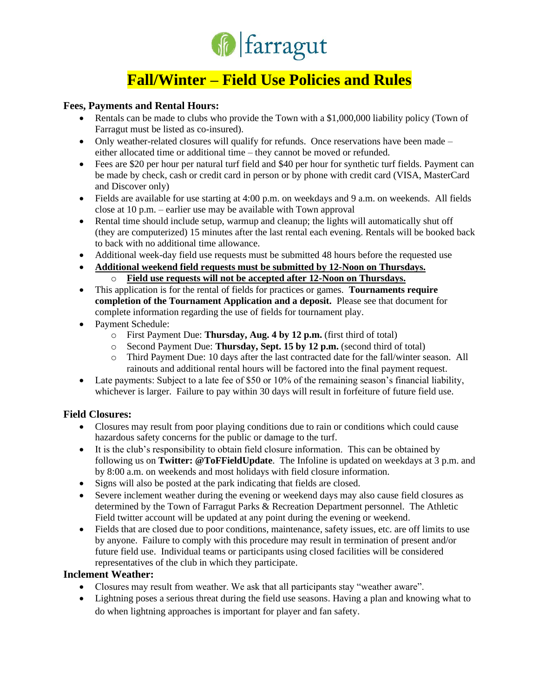

# **Fall/Winter – Field Use Policies and Rules**

#### **Fees, Payments and Rental Hours:**

- Rentals can be made to clubs who provide the Town with a \$1,000,000 liability policy (Town of Farragut must be listed as co-insured).
- Only weather-related closures will qualify for refunds. Once reservations have been made either allocated time or additional time – they cannot be moved or refunded.
- Fees are \$20 per hour per natural turf field and \$40 per hour for synthetic turf fields. Payment can be made by check, cash or credit card in person or by phone with credit card (VISA, MasterCard and Discover only)
- Fields are available for use starting at 4:00 p.m. on weekdays and 9 a.m. on weekends. All fields close at 10 p.m. – earlier use may be available with Town approval
- Rental time should include setup, warmup and cleanup; the lights will automatically shut off (they are computerized) 15 minutes after the last rental each evening. Rentals will be booked back to back with no additional time allowance.
- Additional week-day field use requests must be submitted 48 hours before the requested use
- **Additional weekend field requests must be submitted by 12-Noon on Thursdays.** 
	- o **Field use requests will not be accepted after 12-Noon on Thursdays.**
- This application is for the rental of fields for practices or games. **Tournaments require completion of the Tournament Application and a deposit.** Please see that document for complete information regarding the use of fields for tournament play.
- Payment Schedule:
	- o First Payment Due: **Thursday, Aug. 4 by 12 p.m.** (first third of total)
	- o Second Payment Due: **Thursday, Sept. 15 by 12 p.m.** (second third of total)
	- o Third Payment Due: 10 days after the last contracted date for the fall/winter season. All rainouts and additional rental hours will be factored into the final payment request.
- Late payments: Subject to a late fee of \$50 or 10% of the remaining season's financial liability, whichever is larger. Failure to pay within 30 days will result in forfeiture of future field use.

#### **Field Closures:**

- Closures may result from poor playing conditions due to rain or conditions which could cause hazardous safety concerns for the public or damage to the turf.
- It is the club's responsibility to obtain field closure information. This can be obtained by following us on **Twitter: @ToFFieldUpdate**. The Infoline is updated on weekdays at 3 p.m. and by 8:00 a.m. on weekends and most holidays with field closure information.
- Signs will also be posted at the park indicating that fields are closed.
- Severe inclement weather during the evening or weekend days may also cause field closures as determined by the Town of Farragut Parks & Recreation Department personnel. The Athletic Field twitter account will be updated at any point during the evening or weekend.
- Fields that are closed due to poor conditions, maintenance, safety issues, etc. are off limits to use by anyone. Failure to comply with this procedure may result in termination of present and/or future field use. Individual teams or participants using closed facilities will be considered representatives of the club in which they participate.

#### **Inclement Weather:**

- Closures may result from weather. We ask that all participants stay "weather aware".
- Lightning poses a serious threat during the field use seasons. Having a plan and knowing what to do when lightning approaches is important for player and fan safety.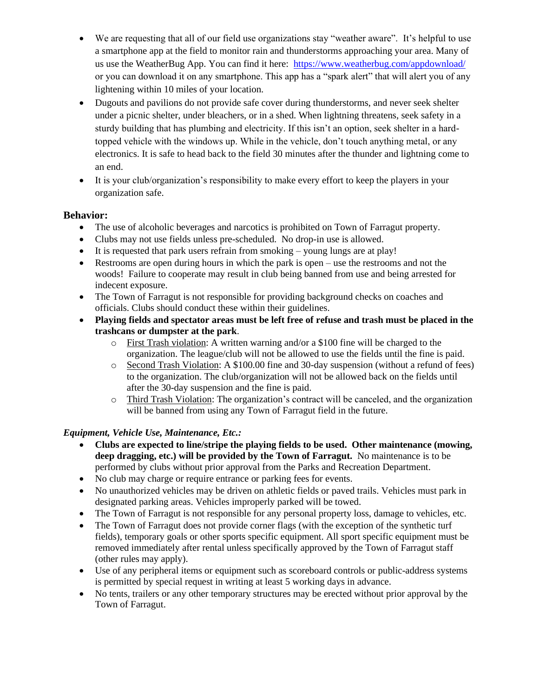- We are requesting that all of our field use organizations stay "weather aware". It's helpful to use a smartphone app at the field to monitor rain and thunderstorms approaching your area. Many of us use the WeatherBug App. You can find it here: <https://www.weatherbug.com/appdownload/> or you can download it on any smartphone. This app has a "spark alert" that will alert you of any lightening within 10 miles of your location.
- Dugouts and pavilions do not provide safe cover during thunderstorms, and never seek shelter under a picnic shelter, under bleachers, or in a shed. When lightning threatens, seek safety in a sturdy building that has plumbing and electricity. If this isn't an option, seek shelter in a hardtopped vehicle with the windows up. While in the vehicle, don't touch anything metal, or any electronics. It is safe to head back to the field 30 minutes after the thunder and lightning come to an end.
- It is your club/organization's responsibility to make every effort to keep the players in your organization safe.

#### **Behavior:**

- The use of alcoholic beverages and narcotics is prohibited on Town of Farragut property.
- Clubs may not use fields unless pre-scheduled. No drop-in use is allowed.
- It is requested that park users refrain from smoking young lungs are at play!
- Restrooms are open during hours in which the park is open use the restrooms and not the woods! Failure to cooperate may result in club being banned from use and being arrested for indecent exposure.
- The Town of Farragut is not responsible for providing background checks on coaches and officials. Clubs should conduct these within their guidelines.
- **Playing fields and spectator areas must be left free of refuse and trash must be placed in the trashcans or dumpster at the park**.
	- $\circ$  First Trash violation: A written warning and/or a \$100 fine will be charged to the organization. The league/club will not be allowed to use the fields until the fine is paid.
	- o Second Trash Violation: A \$100.00 fine and 30-day suspension (without a refund of fees) to the organization. The club/organization will not be allowed back on the fields until after the 30-day suspension and the fine is paid.
	- o Third Trash Violation: The organization's contract will be canceled, and the organization will be banned from using any Town of Farragut field in the future.

#### *Equipment, Vehicle Use, Maintenance, Etc.:*

- **Clubs are expected to line/stripe the playing fields to be used. Other maintenance (mowing, deep dragging, etc.) will be provided by the Town of Farragut.** No maintenance is to be performed by clubs without prior approval from the Parks and Recreation Department.
- No club may charge or require entrance or parking fees for events.
- No unauthorized vehicles may be driven on athletic fields or paved trails. Vehicles must park in designated parking areas. Vehicles improperly parked will be towed.
- The Town of Farragut is not responsible for any personal property loss, damage to vehicles, etc.
- The Town of Farragut does not provide corner flags (with the exception of the synthetic turf fields), temporary goals or other sports specific equipment. All sport specific equipment must be removed immediately after rental unless specifically approved by the Town of Farragut staff (other rules may apply).
- Use of any peripheral items or equipment such as scoreboard controls or public-address systems is permitted by special request in writing at least 5 working days in advance.
- No tents, trailers or any other temporary structures may be erected without prior approval by the Town of Farragut.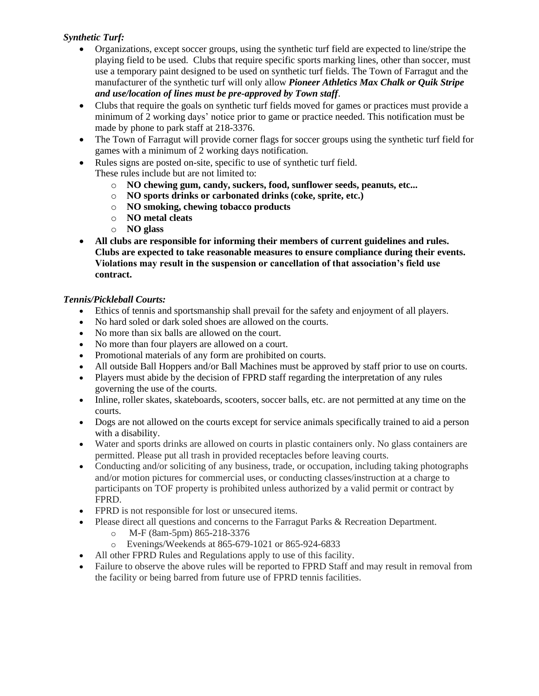#### *Synthetic Turf:*

- Organizations, except soccer groups, using the synthetic turf field are expected to line/stripe the playing field to be used. Clubs that require specific sports marking lines, other than soccer, must use a temporary paint designed to be used on synthetic turf fields. The Town of Farragut and the manufacturer of the synthetic turf will only allow *Pioneer Athletics Max Chalk or Quik Stripe and use/location of lines must be pre-approved by Town staff*.
- Clubs that require the goals on synthetic turf fields moved for games or practices must provide a minimum of 2 working days' notice prior to game or practice needed. This notification must be made by phone to park staff at 218-3376.
- The Town of Farragut will provide corner flags for soccer groups using the synthetic turf field for games with a minimum of 2 working days notification.
- Rules signs are posted on-site, specific to use of synthetic turf field. These rules include but are not limited to:
	- o **NO chewing gum, candy, suckers, food, sunflower seeds, peanuts, etc...**
	- o **NO sports drinks or carbonated drinks (coke, sprite, etc.)**
	- o **NO smoking, chewing tobacco products**
	- o **NO metal cleats**
	- o **NO glass**
- **All clubs are responsible for informing their members of current guidelines and rules. Clubs are expected to take reasonable measures to ensure compliance during their events. Violations may result in the suspension or cancellation of that association's field use contract.**

#### *Tennis/Pickleball Courts:*

- Ethics of tennis and sportsmanship shall prevail for the safety and enjoyment of all players.
- No hard soled or dark soled shoes are allowed on the courts.
- No more than six balls are allowed on the court.
- No more than four players are allowed on a court.
- Promotional materials of any form are prohibited on courts.
- All outside Ball Hoppers and/or Ball Machines must be approved by staff prior to use on courts.
- Players must abide by the decision of FPRD staff regarding the interpretation of any rules governing the use of the courts.
- Inline, roller skates, skateboards, scooters, soccer balls, etc. are not permitted at any time on the courts.
- Dogs are not allowed on the courts except for service animals specifically trained to aid a person with a disability.
- Water and sports drinks are allowed on courts in plastic containers only. No glass containers are permitted. Please put all trash in provided receptacles before leaving courts.
- Conducting and/or soliciting of any business, trade, or occupation, including taking photographs and/or motion pictures for commercial uses, or conducting classes/instruction at a charge to participants on TOF property is prohibited unless authorized by a valid permit or contract by FPRD.
- FPRD is not responsible for lost or unsecured items.
- Please direct all questions and concerns to the Farragut Parks & Recreation Department.
	- o M-F (8am-5pm) 865-218-3376
	- o Evenings/Weekends at 865-679-1021 or 865-924-6833
- All other FPRD Rules and Regulations apply to use of this facility.
- Failure to observe the above rules will be reported to FPRD Staff and may result in removal from the facility or being barred from future use of FPRD tennis facilities.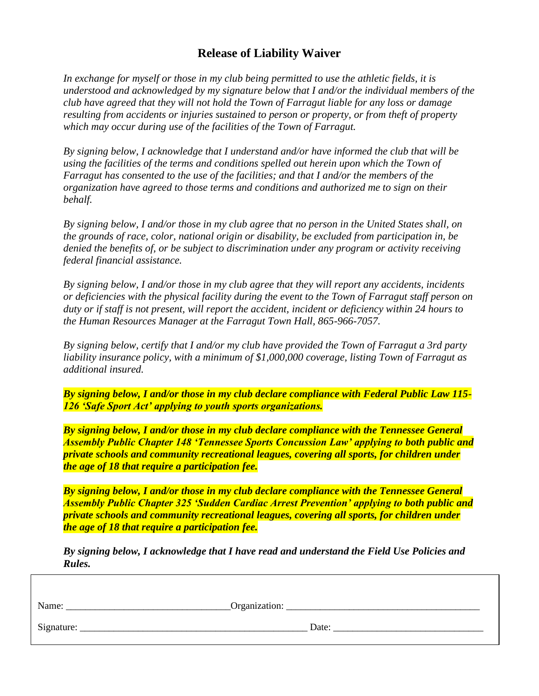### **Release of Liability Waiver**

*In exchange for myself or those in my club being permitted to use the athletic fields, it is understood and acknowledged by my signature below that I and/or the individual members of the club have agreed that they will not hold the Town of Farragut liable for any loss or damage resulting from accidents or injuries sustained to person or property, or from theft of property which may occur during use of the facilities of the Town of Farragut.*

*By signing below, I acknowledge that I understand and/or have informed the club that will be using the facilities of the terms and conditions spelled out herein upon which the Town of Farragut has consented to the use of the facilities; and that I and/or the members of the organization have agreed to those terms and conditions and authorized me to sign on their behalf.*

*By signing below, I and/or those in my club agree that no person in the United States shall, on the grounds of race, color, national origin or disability, be excluded from participation in, be denied the benefits of, or be subject to discrimination under any program or activity receiving federal financial assistance.*

*By signing below, I and/or those in my club agree that they will report any accidents, incidents or deficiencies with the physical facility during the event to the Town of Farragut staff person on duty or if staff is not present, will report the accident, incident or deficiency within 24 hours to the Human Resources Manager at the Farragut Town Hall, 865-966-7057.*

*By signing below, certify that I and/or my club have provided the Town of Farragut a 3rd party liability insurance policy, with a minimum of \$1,000,000 coverage, listing Town of Farragut as additional insured.*

*By signing below, I and/or those in my club declare compliance with Federal Public Law 115- 126 'Safe Sport Act' applying to youth sports organizations.*

*By signing below, I and/or those in my club declare compliance with the Tennessee General Assembly Public Chapter 148 'Tennessee Sports Concussion Law' applying to both public and private schools and community recreational leagues, covering all sports, for children under the age of 18 that require a participation fee.*

*By signing below, I and/or those in my club declare compliance with the Tennessee General Assembly Public Chapter 325 'Sudden Cardiac Arrest Prevention' applying to both public and private schools and community recreational leagues, covering all sports, for children under the age of 18 that require a participation fee.*

*By signing below, I acknowledge that I have read and understand the Field Use Policies and Rules.*

| Name:      | Organization: |
|------------|---------------|
| Signature: | Date:         |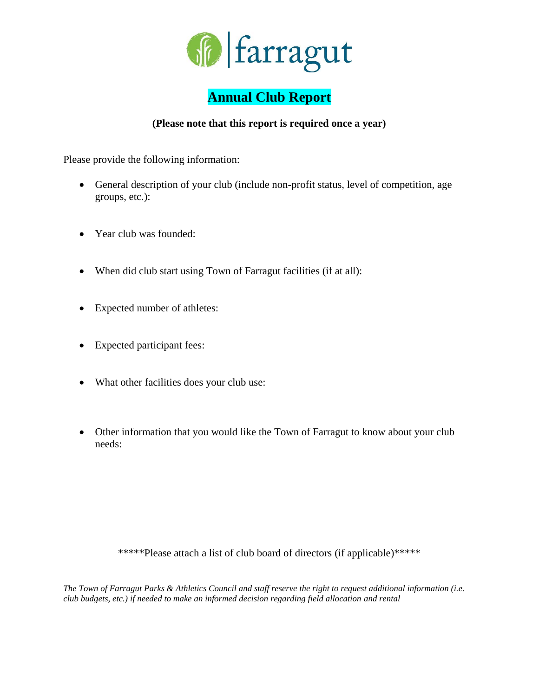

## **Annual Club Report**

#### **(Please note that this report is required once a year)**

Please provide the following information:

- General description of your club (include non-profit status, level of competition, age groups, etc.):
- Year club was founded:
- When did club start using Town of Farragut facilities (if at all):
- Expected number of athletes:
- Expected participant fees:
- What other facilities does your club use:
- Other information that you would like the Town of Farragut to know about your club needs:

\*\*\*\*\*Please attach a list of club board of directors (if applicable)\*\*\*\*\*

*The Town of Farragut Parks & Athletics Council and staff reserve the right to request additional information (i.e. club budgets, etc.) if needed to make an informed decision regarding field allocation and rental*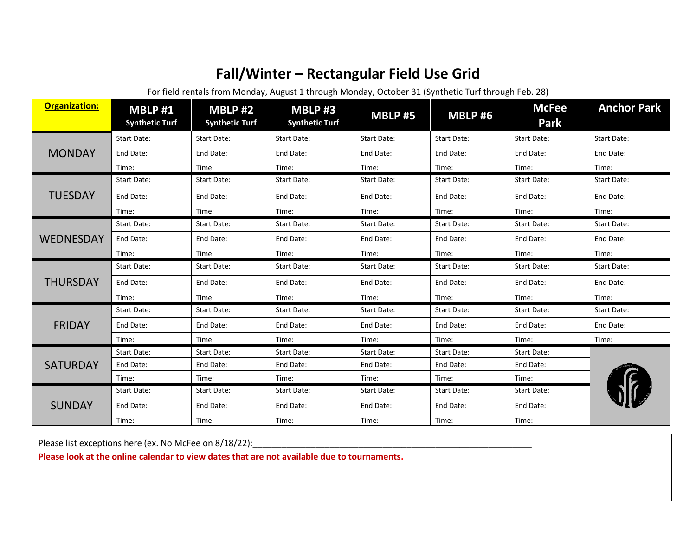# **Fall/Winter – Rectangular Field Use Grid**

For field rentals from Monday, August 1 through Monday, October 31 (Synthetic Turf through Feb. 28)

| <b>Organization:</b> | <b>MBLP#1</b><br><b>Synthetic Turf</b> | <b>MBLP #2</b><br><b>Synthetic Turf</b> | <b>MBLP#3</b><br><b>Synthetic Turf</b> | <b>MBLP #5</b>     | <b>MBLP #6</b>     | <b>McFee</b><br>Park | <b>Anchor Park</b> |
|----------------------|----------------------------------------|-----------------------------------------|----------------------------------------|--------------------|--------------------|----------------------|--------------------|
|                      | <b>Start Date:</b>                     | <b>Start Date:</b>                      | <b>Start Date:</b>                     | <b>Start Date:</b> | <b>Start Date:</b> | <b>Start Date:</b>   | <b>Start Date:</b> |
| <b>MONDAY</b>        | End Date:                              | End Date:                               | End Date:                              | End Date:          | End Date:          | End Date:            | End Date:          |
|                      | Time:                                  | Time:                                   | Time:                                  | Time:              | Time:              | Time:                | Time:              |
|                      | <b>Start Date:</b>                     | <b>Start Date:</b>                      | Start Date:                            | Start Date:        | <b>Start Date:</b> | <b>Start Date:</b>   | <b>Start Date:</b> |
| <b>TUESDAY</b>       | End Date:                              | End Date:                               | End Date:                              | End Date:          | End Date:          | End Date:            | End Date:          |
|                      | Time:                                  | Time:                                   | Time:                                  | Time:              | Time:              | Time:                | Time:              |
|                      | Start Date:                            | <b>Start Date:</b>                      | Start Date:                            | <b>Start Date:</b> | <b>Start Date:</b> | <b>Start Date:</b>   | <b>Start Date:</b> |
| <b>WEDNESDAY</b>     | End Date:                              | End Date:                               | End Date:                              | End Date:          | End Date:          | End Date:            | End Date:          |
|                      | Time:                                  | Time:                                   | Time:                                  | Time:              | Time:              | Time:                | Time:              |
|                      | Start Date:                            | <b>Start Date:</b>                      | <b>Start Date:</b>                     | <b>Start Date:</b> | <b>Start Date:</b> | <b>Start Date:</b>   | <b>Start Date:</b> |
| <b>THURSDAY</b>      | End Date:                              | End Date:                               | End Date:                              | End Date:          | End Date:          | End Date:            | End Date:          |
|                      | Time:                                  | Time:                                   | Time:                                  | Time:              | Time:              | Time:                | Time:              |
|                      | <b>Start Date:</b>                     | <b>Start Date:</b>                      | <b>Start Date:</b>                     | <b>Start Date:</b> | <b>Start Date:</b> | <b>Start Date:</b>   | <b>Start Date:</b> |
| <b>FRIDAY</b>        | End Date:                              | End Date:                               | End Date:                              | End Date:          | End Date:          | End Date:            | End Date:          |
|                      | Time:                                  | Time:                                   | Time:                                  | Time:              | Time:              | Time:                | Time:              |
|                      | Start Date:                            | <b>Start Date:</b>                      | <b>Start Date:</b>                     | <b>Start Date:</b> | Start Date:        | <b>Start Date:</b>   |                    |
| <b>SATURDAY</b>      | End Date:                              | End Date:                               | End Date:                              | End Date:          | End Date:          | End Date:            |                    |
|                      | Time:                                  | Time:                                   | Time:                                  | Time:              | Time:              | Time:                |                    |
|                      | <b>Start Date:</b>                     | <b>Start Date:</b>                      | <b>Start Date:</b>                     | Start Date:        | Start Date:        | <b>Start Date:</b>   |                    |
| <b>SUNDAY</b>        | End Date:                              | End Date:                               | End Date:                              | End Date:          | End Date:          | End Date:            |                    |
|                      | Time:                                  | Time:                                   | Time:                                  | Time:              | Time:              | Time:                |                    |

Please list exceptions here (ex. No McFee on 8/18/22): 11.12 million and the summary control of the summary of

Please look at the online calendar to view dates that are not available due to tournaments.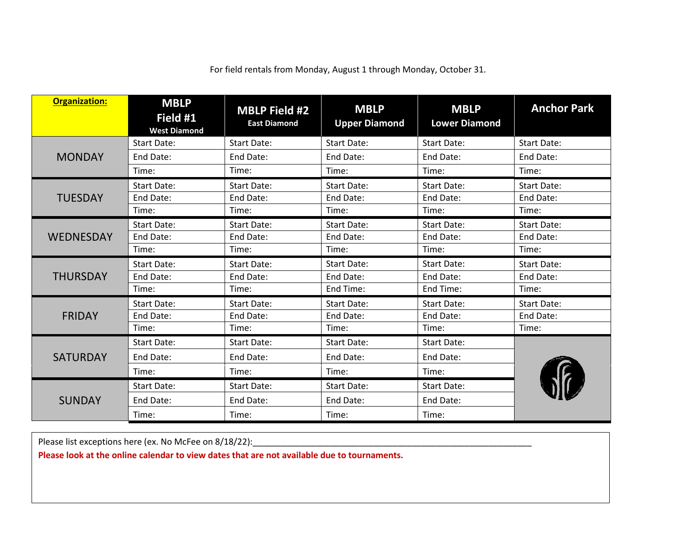**Organization: MBLP Field #1 West Diamond MBLP Field #2 East Diamond MBLP Upper Diamond MBLP Lower Diamond Anchor Park MONDAY** Start Date: Start Date: Start Date: Start Date: Start Date: Start Date: Start Date: Start Date: End Date: The Read Date: End Date: End Date: End Date: End Date: End Date: Time: Time: Time: Time: Time: Time: Time: Time: Time: TUESDAY Start Date: Start Date: Start Date: Start Date: Start Date: Start Date: Start Date: Start Date: End Date: The Lend Date: End Date: End Date: End Date: End Date: End Date: Time: Time: Time: Time: Time: Time: Time: Time: Time: WEDNESDAY Start Date: Start Date: Start Date: Start Date: Start Date: Start Date: Start Date: Start Date: End Date: The Read Date: End Date: End Date: End Date: End Date: End Date: Time: Time: Time: Time: Time: Time: Time: Time: Time: THURSDAY Start Date: Start Date: Start Date: Start Date: Start Date: Start Date: Start Date: Start Date: End Date: The Left End Date: The Left End Date: End Date: End Date: The Left End Date: Time: Time: Time: Time: Time: End Time: Time: Time: Time: Time: FRIDAY Start Date: Start Date: Start Date: Start Date: Start Date: Start Date: Start Date: Start Date: End Date: The Left End Date: The Left End Date: End Date: End Date: The Left End Date: Time: Time: Time: Time: Time: Time: Time: Time: Time: **SATURDAY** Start Date: Start Date: Start Date: Start Date: Start Date: Start Date: Start Date: End Date: The Lend Date: End Date: End Date: End Date: Time: Time: Time: Time: Time: Time: Time: SUNDAY Start Date: Start Date: Start Date: Start Date: Start Date: Start Date: End Date: The Lend Date: End Date: End Date: End Date: Time: Time: Time: Time: Time: Time: Time:

For field rentals from Monday, August 1 through Monday, October 31.

Please list exceptions here (ex. No McFee on 8/18/22):

Please look at the online calendar to view dates that are not available due to tournaments. *Please* look at the online calendar to view dates that are not available due to tournaments.